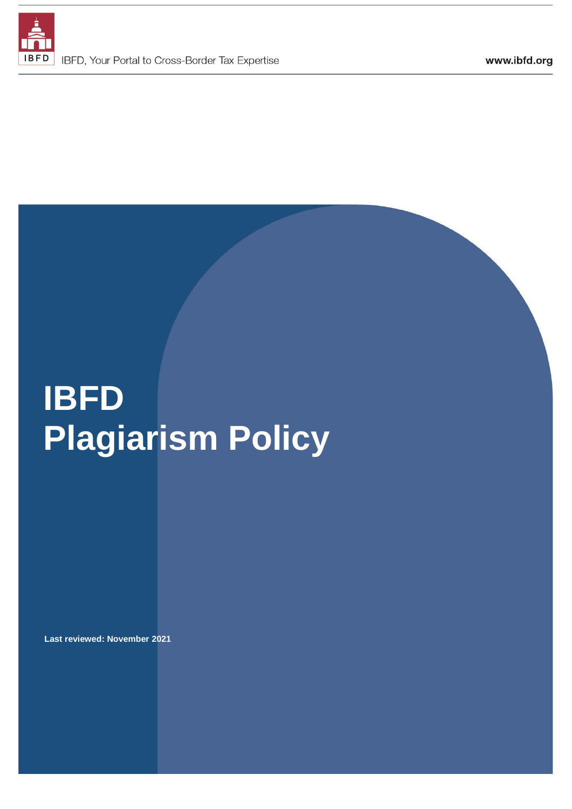

# **IBFD Plagiarism Policy**

**Last reviewed: November 2021**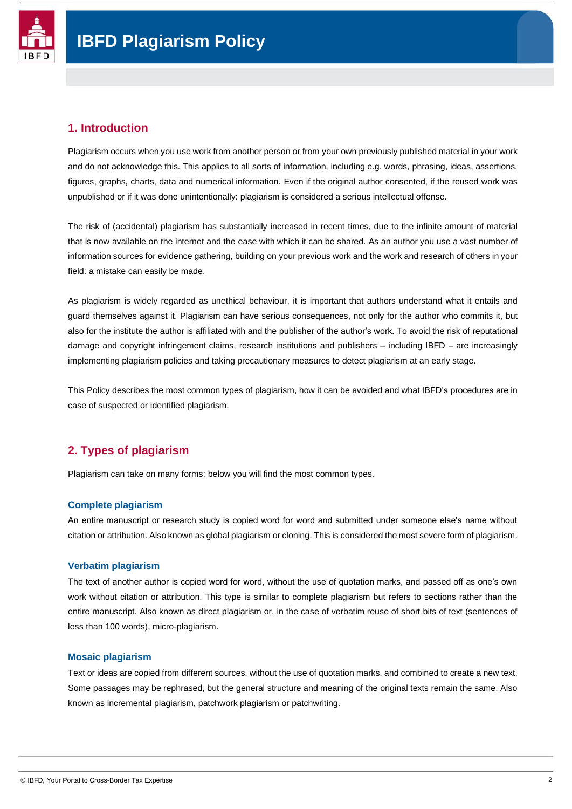

#### **1. Introduction**

Plagiarism occurs when you use work from another person or from your own previously published material in your work and do not acknowledge this. This applies to all sorts of information, including e.g. words, phrasing, ideas, assertions, figures, graphs, charts, data and numerical information. Even if the original author consented, if the reused work was unpublished or if it was done unintentionally: plagiarism is considered a serious intellectual offense.

The risk of (accidental) plagiarism has substantially increased in recent times, due to the infinite amount of material that is now available on the internet and the ease with which it can be shared. As an author you use a vast number of information sources for evidence gathering, building on your previous work and the work and research of others in your field: a mistake can easily be made.

As plagiarism is widely regarded as unethical behaviour, it is important that authors understand what it entails and guard themselves against it. Plagiarism can have serious consequences, not only for the author who commits it, but also for the institute the author is affiliated with and the publisher of the author's work. To avoid the risk of reputational damage and copyright infringement claims, research institutions and publishers – including IBFD – are increasingly implementing plagiarism policies and taking precautionary measures to detect plagiarism at an early stage.

This Policy describes the most common types of plagiarism, how it can be avoided and what IBFD's procedures are in case of suspected or identified plagiarism.

### **2. Types of plagiarism**

Plagiarism can take on many forms: below you will find the most common types.

#### **Complete plagiarism**

An entire manuscript or research study is copied word for word and submitted under someone else's name without citation or attribution. Also known as global plagiarism or cloning. This is considered the most severe form of plagiarism.

#### **Verbatim plagiarism**

The text of another author is copied word for word, without the use of quotation marks, and passed off as one's own work without citation or attribution. This type is similar to complete plagiarism but refers to sections rather than the entire manuscript. Also known as direct plagiarism or, in the case of verbatim reuse of short bits of text (sentences of less than 100 words), micro-plagiarism.

#### **Mosaic plagiarism**

Text or ideas are copied from different sources, without the use of quotation marks, and combined to create a new text. Some passages may be rephrased, but the general structure and meaning of the original texts remain the same. Also known as incremental plagiarism, patchwork plagiarism or patchwriting.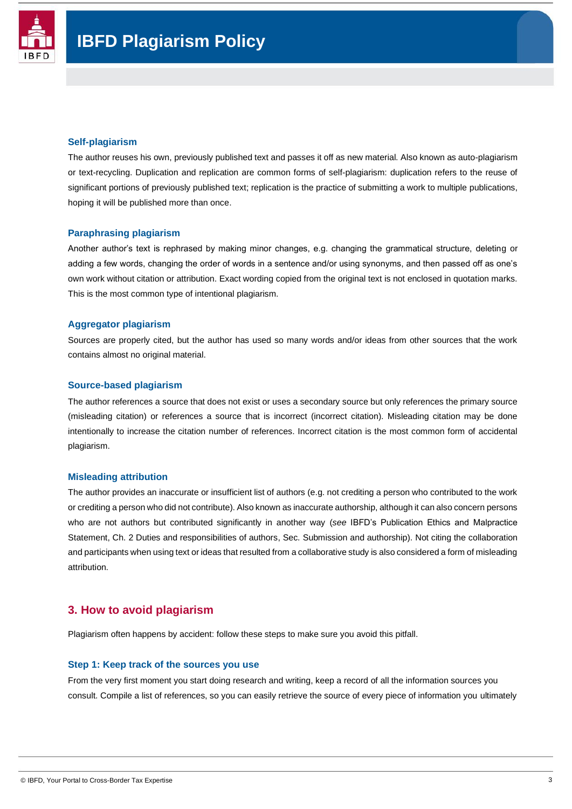

#### **Self-plagiarism**

The author reuses his own, previously published text and passes it off as new material. Also known as auto-plagiarism or text-recycling. Duplication and replication are common forms of self-plagiarism: duplication refers to the reuse of significant portions of previously published text; replication is the practice of submitting a work to multiple publications, hoping it will be published more than once.

#### **Paraphrasing plagiarism**

Another author's text is rephrased by making minor changes, e.g. changing the grammatical structure, deleting or adding a few words, changing the order of words in a sentence and/or using synonyms, and then passed off as one's own work without citation or attribution. Exact wording copied from the original text is not enclosed in quotation marks. This is the most common type of intentional plagiarism.

#### **Aggregator plagiarism**

Sources are properly cited, but the author has used so many words and/or ideas from other sources that the work contains almost no original material.

#### **Source-based plagiarism**

The author references a source that does not exist or uses a secondary source but only references the primary source (misleading citation) or references a source that is incorrect (incorrect citation). Misleading citation may be done intentionally to increase the citation number of references. Incorrect citation is the most common form of accidental plagiarism.

#### **Misleading attribution**

The author provides an inaccurate or insufficient list of authors (e.g. not crediting a person who contributed to the work or crediting a person who did not contribute). Also known as inaccurate authorship, although it can also concern persons who are not authors but contributed significantly in another way (*see* IBFD's Publication Ethics and Malpractice Statement, Ch. 2 Duties and responsibilities of authors, Sec. Submission and authorship). Not citing the collaboration and participants when using text or ideas that resulted from a collaborative study is also considered a form of misleading attribution.

#### **3. How to avoid plagiarism**

Plagiarism often happens by accident: follow these steps to make sure you avoid this pitfall.

#### **Step 1: Keep track of the sources you use**

From the very first moment you start doing research and writing, keep a record of all the information sources you consult. Compile a list of references, so you can easily retrieve the source of every piece of information you ultimately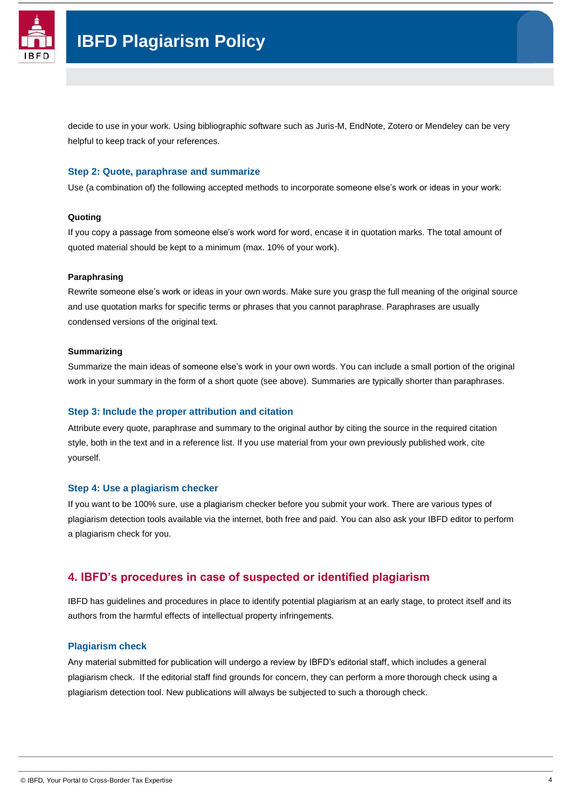

## **IBFD Plagiarism Policy**

decide to use in your work. Using bibliographic software such as Juris-M, EndNote, Zotero or Mendeley can be very helpful to keep track of your references.

#### **Step 2: Quote, paraphrase and summarize**

Use (a combination of) the following accepted methods to incorporate someone else's work or ideas in your work:

#### **Quoting**

If you copy a passage from someone else's work word for word, encase it in quotation marks. The total amount of quoted material should be kept to a minimum (max. 10% of your work).

#### **Paraphrasing**

Rewrite someone else's work or ideas in your own words. Make sure you grasp the full meaning of the original source and use quotation marks for specific terms or phrases that you cannot paraphrase. Paraphrases are usually condensed versions of the original text.

#### **Summarizing**

Summarize the main ideas of someone else's work in your own words. You can include a small portion of the original work in your summary in the form of a short quote (see above). Summaries are typically shorter than paraphrases.

#### **Step 3: Include the proper attribution and citation**

Attribute every quote, paraphrase and summary to the original author by citing the source in the required citation style, both in the text and in a reference list. If you use material from your own previously published work, cite yourself.

#### **Step 4: Use a plagiarism checker**

If you want to be 100% sure, use a plagiarism checker before you submit your work. There are various types of plagiarism detection tools available via the internet, both free and paid. You can also ask your IBFD editor to perform a plagiarism check for you.

#### **4. IBFD's procedures in case of suspected or identified plagiarism**

IBFD has guidelines and procedures in place to identify potential plagiarism at an early stage, to protect itself and its authors from the harmful effects of intellectual property infringements.

#### **Plagiarism check**

Any material submitted for publication will undergo a review by IBFD's editorial staff, which includes a general plagiarism check. If the editorial staff find grounds for concern, they can perform a more thorough check using a plagiarism detection tool. New publications will always be subjected to such a thorough check.